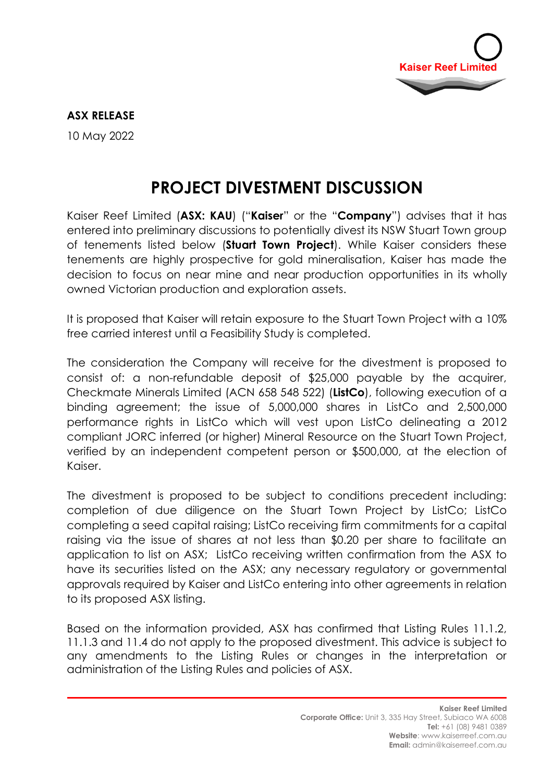

## **ASX RELEASE**

10 May 2022

# **PROJECT DIVESTMENT DISCUSSION**

Kaiser Reef Limited (**ASX: KAU**) ("**Kaiser**" or the "**Company**") advises that it has entered into preliminary discussions to potentially divest its NSW Stuart Town group of tenements listed below (**Stuart Town Project**). While Kaiser considers these tenements are highly prospective for gold mineralisation, Kaiser has made the decision to focus on near mine and near production opportunities in its wholly owned Victorian production and exploration assets.

It is proposed that Kaiser will retain exposure to the Stuart Town Project with a 10% free carried interest until a Feasibility Study is completed.

The consideration the Company will receive for the divestment is proposed to consist of: a non-refundable deposit of \$25,000 payable by the acquirer, Checkmate Minerals Limited (ACN 658 548 522) (**ListCo**), following execution of a binding agreement; the issue of 5,000,000 shares in ListCo and 2,500,000 performance rights in ListCo which will vest upon ListCo delineating a 2012 compliant JORC inferred (or higher) Mineral Resource on the Stuart Town Project, verified by an independent competent person or \$500,000, at the election of Kaiser.

The divestment is proposed to be subject to conditions precedent including: completion of due diligence on the Stuart Town Project by ListCo; ListCo completing a seed capital raising; ListCo receiving firm commitments for a capital raising via the issue of shares at not less than \$0.20 per share to facilitate an application to list on ASX; ListCo receiving written confirmation from the ASX to have its securities listed on the ASX; any necessary regulatory or governmental approvals required by Kaiser and ListCo entering into other agreements in relation to its proposed ASX listing.

Based on the information provided, ASX has confirmed that Listing Rules 11.1.2, 11.1.3 and 11.4 do not apply to the proposed divestment. This advice is subject to any amendments to the Listing Rules or changes in the interpretation or administration of the Listing Rules and policies of ASX.